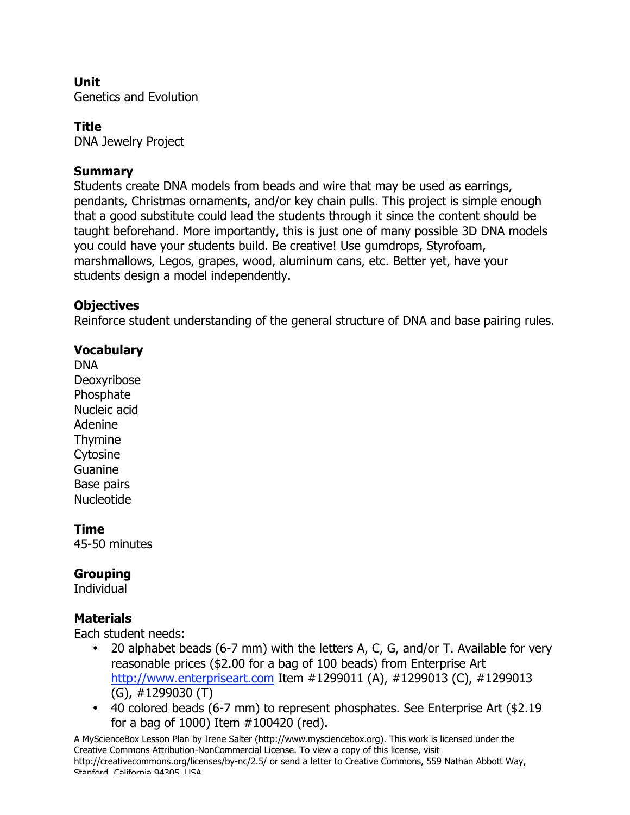# **Unit**

Genetics and Evolution

### **Title**

DNA Jewelry Project

### **Summary**

Students create DNA models from beads and wire that may be used as earrings, pendants, Christmas ornaments, and/or key chain pulls. This project is simple enough that a good substitute could lead the students through it since the content should be taught beforehand. More importantly, this is just one of many possible 3D DNA models you could have your students build. Be creative! Use gumdrops, Styrofoam, marshmallows, Legos, grapes, wood, aluminum cans, etc. Better yet, have your students design a model independently.

### **Objectives**

Reinforce student understanding of the general structure of DNA and base pairing rules.

## **Vocabulary**

DNA Deoxyribose Phosphate Nucleic acid Adenine Thymine **Cytosine** Guanine Base pairs Nucleotide

### **Time**

45-50 minutes

## **Grouping**

**Individual** 

## **Materials**

Each student needs:

- 20 alphabet beads (6-7 mm) with the letters A, C, G, and/or T. Available for very reasonable prices (\$2.00 for a bag of 100 beads) from Enterprise Art http://www.enterpriseart.com Item #1299011 (A), #1299013 (C), #1299013 (G), #1299030 (T)
- 40 colored beads (6-7 mm) to represent phosphates. See Enterprise Art (\$2.19 for a bag of 1000) Item #100420 (red).

A MyScienceBox Lesson Plan by Irene Salter (http://www.mysciencebox.org). This work is licensed under the Creative Commons Attribution-NonCommercial License. To view a copy of this license, visit http://creativecommons.org/licenses/by-nc/2.5/ or send a letter to Creative Commons, 559 Nathan Abbott Way, Stanford, California 94305, USA.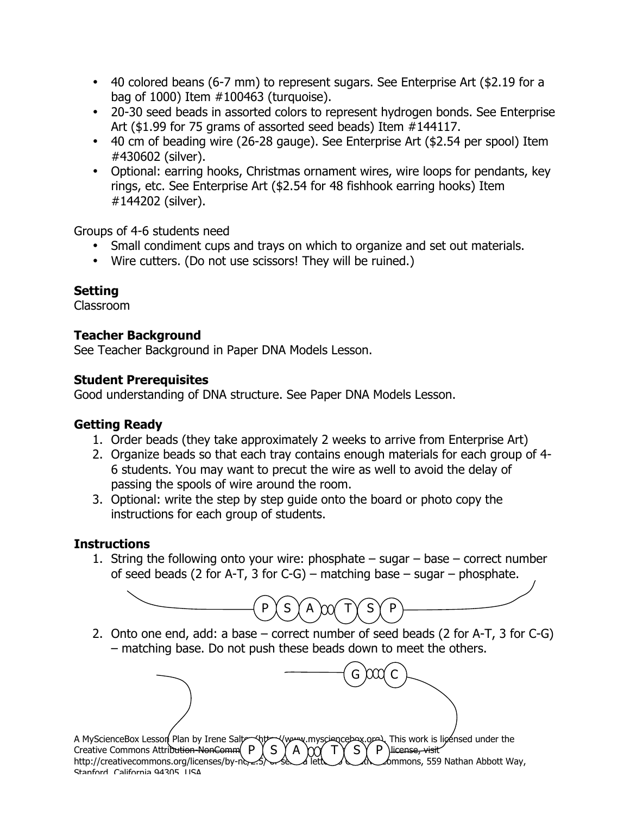- 40 colored beans (6-7 mm) to represent sugars. See Enterprise Art (\$2.19 for a bag of 1000) Item #100463 (turquoise).
- 20-30 seed beads in assorted colors to represent hydrogen bonds. See Enterprise Art (\$1.99 for 75 grams of assorted seed beads) Item #144117.
- 40 cm of beading wire (26-28 gauge). See Enterprise Art (\$2.54 per spool) Item #430602 (silver).
- Optional: earring hooks, Christmas ornament wires, wire loops for pendants, key rings, etc. See Enterprise Art (\$2.54 for 48 fishhook earring hooks) Item #144202 (silver).

Groups of 4-6 students need

- Small condiment cups and trays on which to organize and set out materials.
- Wire cutters. (Do not use scissors! They will be ruined.)

## **Setting**

Classroom

# **Teacher Background**

See Teacher Background in Paper DNA Models Lesson.

## **Student Prerequisites**

Good understanding of DNA structure. See Paper DNA Models Lesson.

## **Getting Ready**

- 1. Order beads (they take approximately 2 weeks to arrive from Enterprise Art)
- 2. Organize beads so that each tray contains enough materials for each group of 4- 6 students. You may want to precut the wire as well to avoid the delay of passing the spools of wire around the room.
- 3. Optional: write the step by step guide onto the board or photo copy the instructions for each group of students.

## **Instructions**

1. String the following onto your wire: phosphate – sugar – base – correct number of seed beads (2 for A-T, 3 for C-G) – matching base – sugar – phosphate.



2. Onto one end, add: a base – correct number of seed beads (2 for A-T, 3 for C-G) – matching base. Do not push these beads down to meet the others.

G )CCQ C

A MyScienceBox Lesson Plan by Irene Salter (http://www.mysciencebox.org). This work is licensed under the Creative Commons Attribution NonComm  $P$   $S$   $S$   $A$   $M$  $T$  $S$  $S$  $P$  Hicense, visit Creative Commons Attribution-NonComm( P  $\parallel S \parallel A \rangle \gamma \gamma T \gamma S \gamma P$  Hicense, visit http://creativecommons.org/licenses/by-nc-2.5. of Letter of Commons, 559 Nathan Abbott Way, Stanford, California 94305, USA.  $P$   $($  S  $)$  A  $\chi$  $\chi$  T $\gamma$  S $\gamma$  P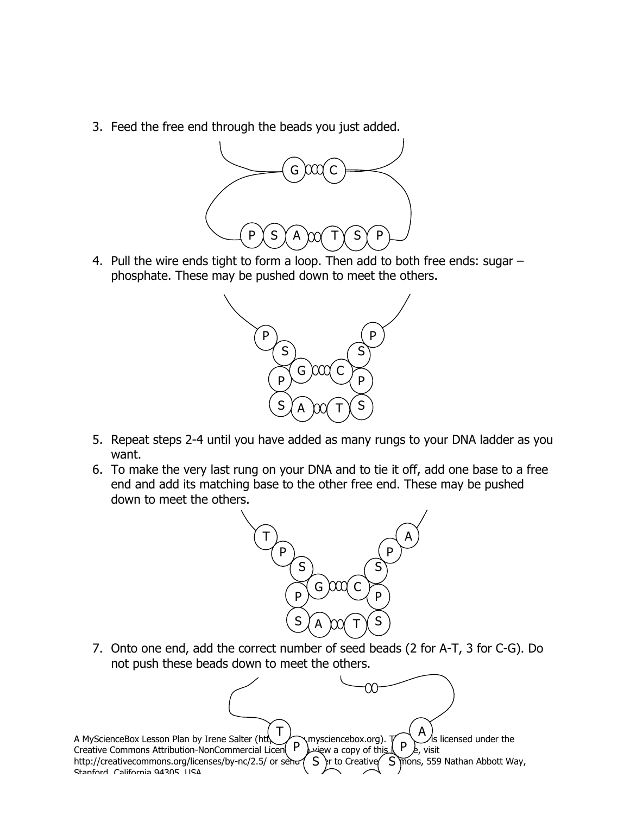3. Feed the free end through the beads you just added.



4. Pull the wire ends tight to form a loop. Then add to both free ends: sugar – phosphate. These may be pushed down to meet the others.



- 5. Repeat steps 2-4 until you have added as many rungs to your DNA ladder as you want.
- 6. To make the very last rung on your DNA and to tie it off, add one base to a free end and add its matching base to the other free end. These may be pushed down to meet the others.



7. Onto one end, add the correct number of seed beads (2 for A-T, 3 for C-G). Do not push these beads down to meet the others.

A MyScienceBox Lesson Plan by Irene Salter (http://www.mysciencebox.org).  $T$   $\begin{pmatrix} A \\ P \end{pmatrix}$  is licensed under the Creative Commons Attribution-NonCommercial Licen $\left\{ \begin{array}{cc} P \end{array} \right\}$  $\rightarrow$  view a copy of this  $\left\{ \begin{array}{cc} P \end{array} \right\}$ , visit http://creativecommons.org/licenses/by-nc/2.5/ or send  $\mathcal{S}$  fr to Creative  $\mathcal{S}$  mons, 559 Nathan Abbott Way, Stanford, California 94305, USA. ew a copy of this  $S$   $\}$ r to Creative  $\zeta$ mysciencebox.org). T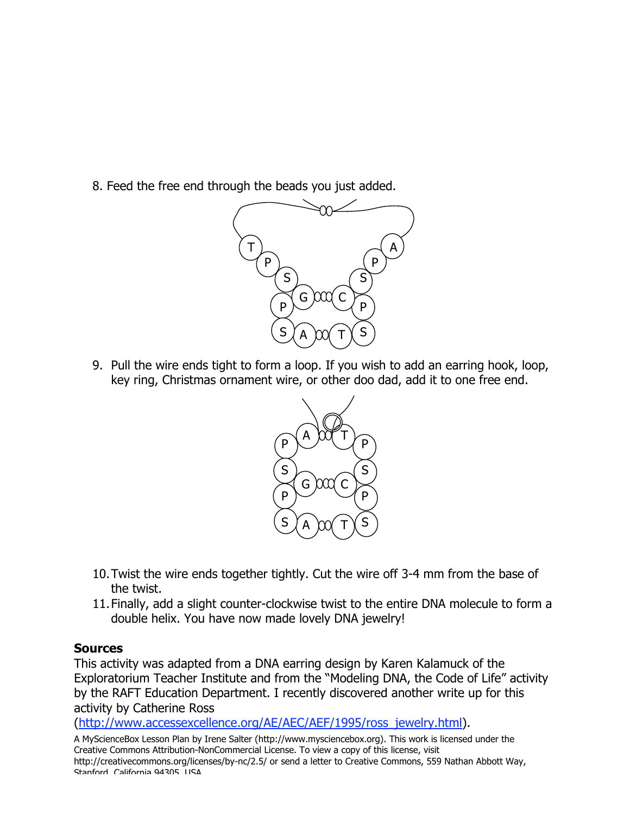8. Feed the free end through the beads you just added.



9. Pull the wire ends tight to form a loop. If you wish to add an earring hook, loop, key ring, Christmas ornament wire, or other doo dad, add it to one free end.



- 10.Twist the wire ends together tightly. Cut the wire off 3-4 mm from the base of the twist.
- 11.Finally, add a slight counter-clockwise twist to the entire DNA molecule to form a double helix. You have now made lovely DNA jewelry!

### **Sources**

This activity was adapted from a DNA earring design by Karen Kalamuck of the Exploratorium Teacher Institute and from the "Modeling DNA, the Code of Life" activity by the RAFT Education Department. I recently discovered another write up for this activity by Catherine Ross

(http://www.accessexcellence.org/AE/AEC/AEF/1995/ross\_jewelry.html).

A MyScienceBox Lesson Plan by Irene Salter (http://www.mysciencebox.org). This work is licensed under the Creative Commons Attribution-NonCommercial License. To view a copy of this license, visit http://creativecommons.org/licenses/by-nc/2.5/ or send a letter to Creative Commons, 559 Nathan Abbott Way, Stanford, California 94305, USA.